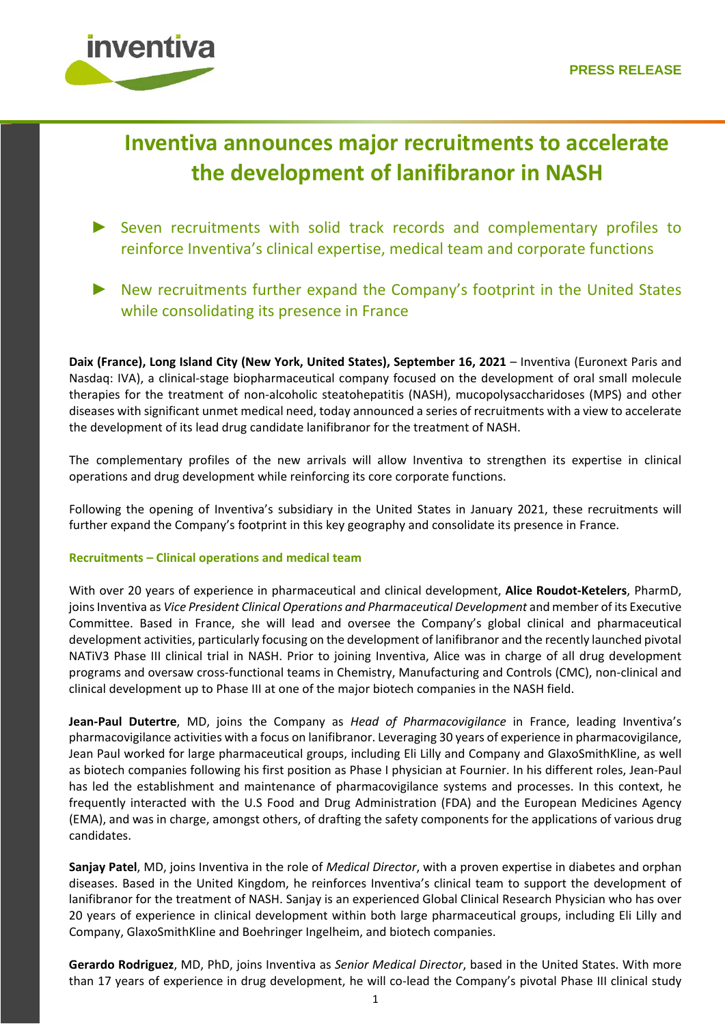

# **Inventiva announces major recruitments to accelerate the development of lanifibranor in NASH**

- ► Seven recruitments with solid track records and complementary profiles to reinforce Inventiva's clinical expertise, medical team and corporate functions
- New recruitments further expand the Company's footprint in the United States while consolidating its presence in France

**Daix (France), Long Island City (New York, United States), September 16, 2021** – Inventiva (Euronext Paris and Nasdaq: IVA), a clinical-stage biopharmaceutical company focused on the development of oral small molecule therapies for the treatment of non-alcoholic steatohepatitis (NASH), mucopolysaccharidoses (MPS) and other diseases with significant unmet medical need, today announced a series of recruitments with a view to accelerate the development of its lead drug candidate lanifibranor for the treatment of NASH.

The complementary profiles of the new arrivals will allow Inventiva to strengthen its expertise in clinical operations and drug development while reinforcing its core corporate functions.

Following the opening of Inventiva's subsidiary in the United States in January 2021, these recruitments will further expand the Company's footprint in this key geography and consolidate its presence in France.

### **Recruitments – Clinical operations and medical team**

With over 20 years of experience in pharmaceutical and clinical development, **Alice Roudot-Ketelers**, PharmD, joins Inventiva as *Vice President Clinical Operations and Pharmaceutical Development* and member of its Executive Committee. Based in France, she will lead and oversee the Company's global clinical and pharmaceutical development activities, particularly focusing on the development of lanifibranor and the recently launched pivotal NATiV3 Phase III clinical trial in NASH. Prior to joining Inventiva, Alice was in charge of all drug development programs and oversaw cross-functional teams in Chemistry, Manufacturing and Controls (CMC), non-clinical and clinical development up to Phase III at one of the major biotech companies in the NASH field.

**Jean-Paul Dutertre**, MD, joins the Company as *Head of Pharmacovigilance* in France, leading Inventiva's pharmacovigilance activities with a focus on lanifibranor. Leveraging 30 years of experience in pharmacovigilance, Jean Paul worked for large pharmaceutical groups, including Eli Lilly and Company and GlaxoSmithKline, as well as biotech companies following his first position as Phase I physician at Fournier. In his different roles, Jean-Paul has led the establishment and maintenance of pharmacovigilance systems and processes. In this context, he frequently interacted with the U.S Food and Drug Administration (FDA) and the European Medicines Agency (EMA), and was in charge, amongst others, of drafting the safety components for the applications of various drug candidates.

**Sanjay Patel**, MD, joins Inventiva in the role of *Medical Director*, with a proven expertise in diabetes and orphan diseases. Based in the United Kingdom, he reinforces Inventiva's clinical team to support the development of lanifibranor for the treatment of NASH. Sanjay is an experienced Global Clinical Research Physician who has over 20 years of experience in clinical development within both large pharmaceutical groups, including Eli Lilly and Company, GlaxoSmithKline and Boehringer Ingelheim, and biotech companies.

**Gerardo Rodriguez**, MD, PhD, joins Inventiva as *Senior Medical Director*, based in the United States. With more than 17 years of experience in drug development, he will co-lead the Company's pivotal Phase III clinical study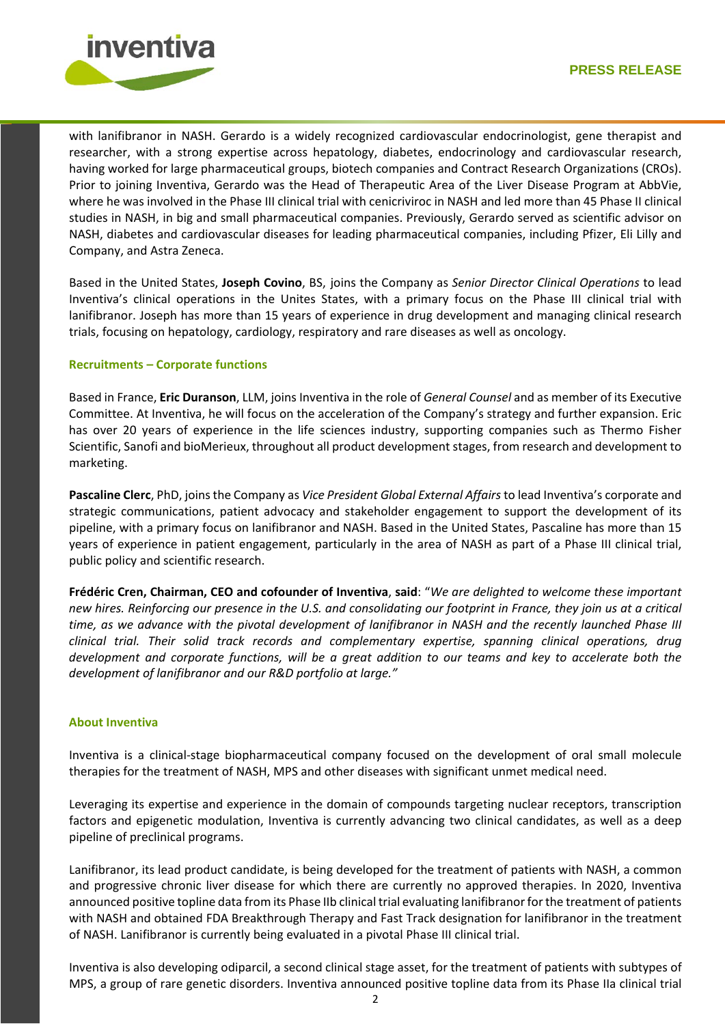

with lanifibranor in NASH. Gerardo is a widely recognized cardiovascular endocrinologist, gene therapist and researcher, with a strong expertise across hepatology, diabetes, endocrinology and cardiovascular research, having worked for large pharmaceutical groups, biotech companies and Contract Research Organizations (CROs). Prior to joining Inventiva, Gerardo was the Head of Therapeutic Area of the Liver Disease Program at AbbVie, where he was involved in the Phase III clinical trial with cenicriviroc in NASH and led more than 45 Phase II clinical studies in NASH, in big and small pharmaceutical companies. Previously, Gerardo served as scientific advisor on NASH, diabetes and cardiovascular diseases for leading pharmaceutical companies, including Pfizer, Eli Lilly and Company, and Astra Zeneca.

Based in the United States, **Joseph Covino**, BS, joins the Company as *Senior Director Clinical Operations* to lead Inventiva's clinical operations in the Unites States, with a primary focus on the Phase III clinical trial with lanifibranor. Joseph has more than 15 years of experience in drug development and managing clinical research trials, focusing on hepatology, cardiology, respiratory and rare diseases as well as oncology.

## **Recruitments – Corporate functions**

Based in France, **Eric Duranson**, LLM, joins Inventiva in the role of *General Counsel* and as member of its Executive Committee. At Inventiva, he will focus on the acceleration of the Company's strategy and further expansion. Eric has over 20 years of experience in the life sciences industry, supporting companies such as Thermo Fisher Scientific, Sanofi and bioMerieux, throughout all product development stages, from research and development to marketing.

**Pascaline Clerc**, PhD, joins the Company as *Vice President Global External Affairs* to lead Inventiva's corporate and strategic communications, patient advocacy and stakeholder engagement to support the development of its pipeline, with a primary focus on lanifibranor and NASH. Based in the United States, Pascaline has more than 15 years of experience in patient engagement, particularly in the area of NASH as part of a Phase III clinical trial, public policy and scientific research.

**Frédéric Cren, Chairman, CEO and cofounder of Inventiva**, **said**: "*We are delighted to welcome these important new hires. Reinforcing our presence in the U.S. and consolidating our footprint in France, they join us at a critical time, as we advance with the pivotal development of lanifibranor in NASH and the recently launched Phase III clinical trial. Their solid track records and complementary expertise, spanning clinical operations, drug development and corporate functions, will be a great addition to our teams and key to accelerate both the development of lanifibranor and our R&D portfolio at large."* 

### **About Inventiva**

Inventiva is a clinical-stage biopharmaceutical company focused on the development of oral small molecule therapies for the treatment of NASH, MPS and other diseases with significant unmet medical need.

Leveraging its expertise and experience in the domain of compounds targeting nuclear receptors, transcription factors and epigenetic modulation, Inventiva is currently advancing two clinical candidates, as well as a deep pipeline of preclinical programs.

Lanifibranor, its lead product candidate, is being developed for the treatment of patients with NASH, a common and progressive chronic liver disease for which there are currently no approved therapies. In 2020, Inventiva announced positive topline data from its Phase IIb clinical trial evaluating lanifibranor for the treatment of patients with NASH and obtained FDA Breakthrough Therapy and Fast Track designation for lanifibranor in the treatment of NASH. Lanifibranor is currently being evaluated in a pivotal Phase III clinical trial.

Inventiva is also developing odiparcil, a second clinical stage asset, for the treatment of patients with subtypes of MPS, a group of rare genetic disorders. Inventiva announced positive topline data from its Phase IIa clinical trial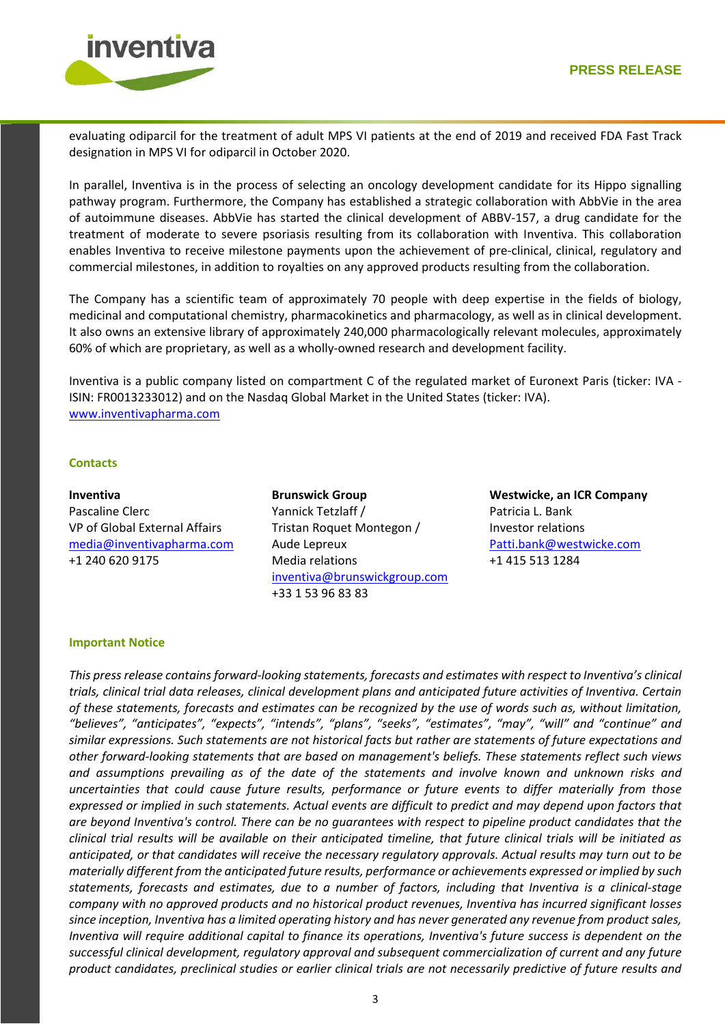

evaluating odiparcil for the treatment of adult MPS VI patients at the end of 2019 and received FDA Fast Track designation in MPS VI for odiparcil in October 2020.

In parallel, Inventiva is in the process of selecting an oncology development candidate for its Hippo signalling pathway program. Furthermore, the Company has established a strategic collaboration with AbbVie in the area of autoimmune diseases. AbbVie has started the clinical development of ABBV-157, a drug candidate for the treatment of moderate to severe psoriasis resulting from its collaboration with Inventiva. This collaboration enables Inventiva to receive milestone payments upon the achievement of pre-clinical, clinical, regulatory and commercial milestones, in addition to royalties on any approved products resulting from the collaboration.

The Company has a scientific team of approximately 70 people with deep expertise in the fields of biology, medicinal and computational chemistry, pharmacokinetics and pharmacology, as well as in clinical development. It also owns an extensive library of approximately 240,000 pharmacologically relevant molecules, approximately 60% of which are proprietary, as well as a wholly-owned research and development facility.

Inventiva is a public company listed on compartment C of the regulated market of Euronext Paris (ticker: IVA - ISIN: FR0013233012) and on the Nasdaq Global Market in the United States (ticker: IVA). [www.inventivapharma.com](http://www.inventivapharma.com/)

### **Contacts**

**Inventiva** Pascaline Clerc VP of Global External Affairs [media@inventivapharma.com](mailto:media@inventivapharma.com) +1 240 620 9175

**Brunswick Group** Yannick Tetzlaff / Tristan Roquet Montegon / Aude Lepreux Media relations [inventiva@brunswickgroup.com](mailto:inventiva@brunswickgroup.com) +33 1 53 96 83 83

**Westwicke, an ICR Company** Patricia L. Bank Investor relations [Patti.bank@westwicke.com](mailto:Patti.bank@westwicke.com) +1 415 513 1284

### **Important Notice**

*This press release contains forward-looking statements, forecasts and estimates with respect to Inventiva's clinical trials, clinical trial data releases, clinical development plans and anticipated future activities of Inventiva. Certain of these statements, forecasts and estimates can be recognized by the use of words such as, without limitation, "believes", "anticipates", "expects", "intends", "plans", "seeks", "estimates", "may", "will" and "continue" and similar expressions. Such statements are not historical facts but rather are statements of future expectations and other forward-looking statements that are based on management's beliefs. These statements reflect such views and assumptions prevailing as of the date of the statements and involve known and unknown risks and uncertainties that could cause future results, performance or future events to differ materially from those expressed or implied in such statements. Actual events are difficult to predict and may depend upon factors that are beyond Inventiva's control. There can be no guarantees with respect to pipeline product candidates that the clinical trial results will be available on their anticipated timeline, that future clinical trials will be initiated as anticipated, or that candidates will receive the necessary regulatory approvals. Actual results may turn out to be materially different from the anticipated future results, performance or achievements expressed or implied by such statements, forecasts and estimates, due to a number of factors, including that Inventiva is a clinical-stage company with no approved products and no historical product revenues, Inventiva has incurred significant losses since inception, Inventiva has a limited operating history and has never generated any revenue from product sales, Inventiva will require additional capital to finance its operations, Inventiva's future success is dependent on the successful clinical development, regulatory approval and subsequent commercialization of current and any future product candidates, preclinical studies or earlier clinical trials are not necessarily predictive of future results and*